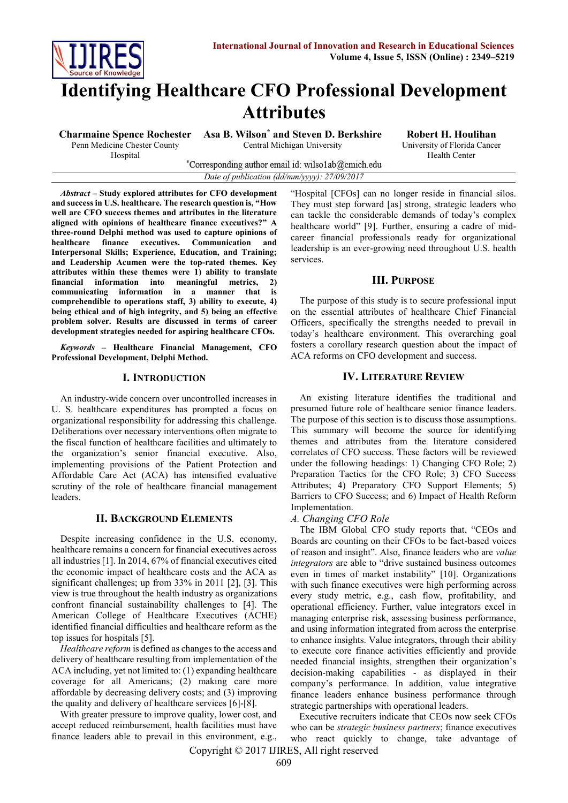

Hospital

# **Identifying Healthcare CFO Professional Development Attributes**

**Charmaine Spence Rochester** Penn Medicine Chester County **Asa B. Wilson\* and Steven D. Berkshire** Central Michigan University

**Robert H. Houlihan** University of Florida Cancer Health Center

\*Corresponding author email id: wilso1ab@cmich.edu *Date of publication (dd/mm/yyyy): 27/09/2017*

*Abstract* **– Study explored attributes for CFO development and success in U.S. healthcare. The research question is, "How well are CFO success themes and attributes in the literature aligned with opinions of healthcare finance executives?" A three-round Delphi method was used to capture opinions of healthcare finance executives. Communication and Interpersonal Skills; Experience, Education, and Training; and Leadership Acumen were the top-rated themes. Key attributes within these themes were 1) ability to translate financial information into meaningful metrics, 2) communicating information in a manner that is comprehendible to operations staff, 3) ability to execute, 4) being ethical and of high integrity, and 5) being an effective problem solver. Results are discussed in terms of career development strategies needed for aspiring healthcare CFOs.** 

*Keywords* **– Healthcare Financial Management, CFO Professional Development, Delphi Method.**

#### **I. INTRODUCTION**

An industry-wide concern over uncontrolled increases in U. S. healthcare expenditures has prompted a focus on organizational responsibility for addressing this challenge. Deliberations over necessary interventions often migrate to the fiscal function of healthcare facilities and ultimately to the organization's senior financial executive. Also, implementing provisions of the Patient Protection and Affordable Care Act (ACA) has intensified evaluative scrutiny of the role of healthcare financial management leaders.

## **II. BACKGROUND ELEMENTS**

Despite increasing confidence in the U.S. economy, healthcare remains a concern for financial executives across all industries [1]. In 2014, 67% of financial executives cited the economic impact of healthcare costs and the ACA as significant challenges; up from 33% in 2011 [2], [3]. This view is true throughout the health industry as organizations confront financial sustainability challenges to [4]. The American College of Healthcare Executives (ACHE) identified financial difficulties and healthcare reform as the top issues for hospitals [5].

*Healthcare reform* is defined as changes to the access and delivery of healthcare resulting from implementation of the ACA including, yet not limited to: (1) expanding healthcare coverage for all Americans; (2) making care more affordable by decreasing delivery costs; and (3) improving the quality and delivery of healthcare services [6]-[8].

With greater pressure to improve quality, lower cost, and accept reduced reimbursement, health facilities must have finance leaders able to prevail in this environment, e.g., "Hospital [CFOs] can no longer reside in financial silos. They must step forward [as] strong, strategic leaders who can tackle the considerable demands of today's complex healthcare world" [9]. Further, ensuring a cadre of midcareer financial professionals ready for organizational leadership is an ever-growing need throughout U.S. health services.

# **III. PURPOSE**

The purpose of this study is to secure professional input on the essential attributes of healthcare Chief Financial Officers, specifically the strengths needed to prevail in today's healthcare environment. This overarching goal fosters a corollary research question about the impact of ACA reforms on CFO development and success.

# **IV. LITERATURE REVIEW**

An existing literature identifies the traditional and presumed future role of healthcare senior finance leaders. The purpose of this section is to discuss those assumptions. This summary will become the source for identifying themes and attributes from the literature considered correlates of CFO success. These factors will be reviewed under the following headings: 1) Changing CFO Role; 2) Preparation Tactics for the CFO Role; 3) CFO Success Attributes; 4) Preparatory CFO Support Elements; 5) Barriers to CFO Success; and 6) Impact of Health Reform Implementation.

## *A. Changing CFO Role*

The IBM Global CFO study reports that, "CEOs and Boards are counting on their CFOs to be fact-based voices of reason and insight". Also, finance leaders who are *value integrators* are able to "drive sustained business outcomes even in times of market instability" [10]. Organizations with such finance executives were high performing across every study metric, e.g., cash flow, profitability, and operational efficiency. Further, value integrators excel in managing enterprise risk, assessing business performance, and using information integrated from across the enterprise to enhance insights. Value integrators, through their ability to execute core finance activities efficiently and provide needed financial insights, strengthen their organization's decision-making capabilities - as displayed in their company's performance. In addition, value integrative finance leaders enhance business performance through strategic partnerships with operational leaders.

Executive recruiters indicate that CEOs now seek CFOs who can be *strategic business partners*; finance executives who react quickly to change, take advantage of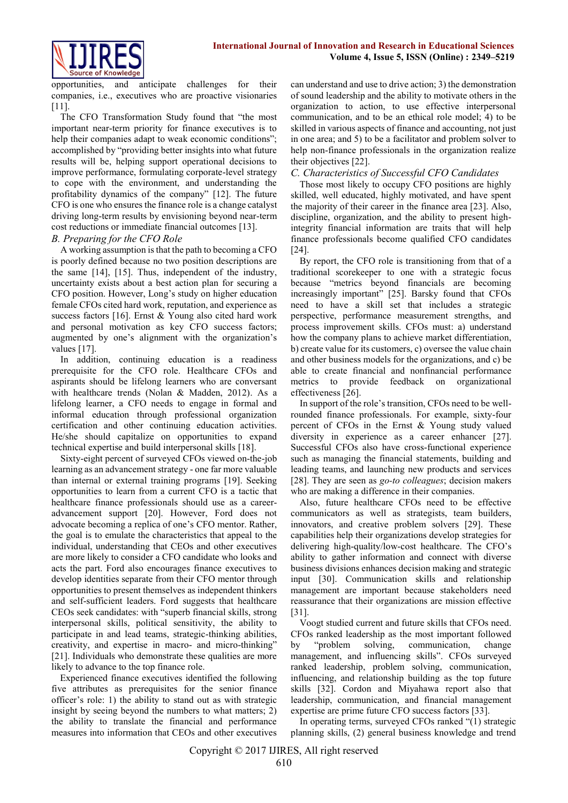

opportunities, and anticipate challenges for their companies, i.e., executives who are proactive visionaries [11].

The CFO Transformation Study found that "the most important near-term priority for finance executives is to help their companies adapt to weak economic conditions"; accomplished by "providing better insights into what future results will be, helping support operational decisions to improve performance, formulating corporate-level strategy to cope with the environment, and understanding the profitability dynamics of the company" [12]. The future CFO is one who ensures the finance role is a change catalyst driving long-term results by envisioning beyond near-term cost reductions or immediate financial outcomes [13].

## *B. Preparing for the CFO Role*

A working assumption is that the path to becoming a CFO is poorly defined because no two position descriptions are the same [14], [15]. Thus, independent of the industry, uncertainty exists about a best action plan for securing a CFO position. However, Long's study on higher education female CFOs cited hard work, reputation, and experience as success factors [16]. Ernst & Young also cited hard work and personal motivation as key CFO success factors; augmented by one's alignment with the organization's values [17].

In addition, continuing education is a readiness prerequisite for the CFO role. Healthcare CFOs and aspirants should be lifelong learners who are conversant with healthcare trends (Nolan & Madden, 2012). As a lifelong learner, a CFO needs to engage in formal and informal education through professional organization certification and other continuing education activities. He/she should capitalize on opportunities to expand technical expertise and build interpersonal skills [18].

Sixty-eight percent of surveyed CFOs viewed on-the-job learning as an advancement strategy - one far more valuable than internal or external training programs [19]. Seeking opportunities to learn from a current CFO is a tactic that healthcare finance professionals should use as a careeradvancement support [20]. However, Ford does not advocate becoming a replica of one's CFO mentor. Rather, the goal is to emulate the characteristics that appeal to the individual, understanding that CEOs and other executives are more likely to consider a CFO candidate who looks and acts the part. Ford also encourages finance executives to develop identities separate from their CFO mentor through opportunities to present themselves as independent thinkers and self-sufficient leaders. Ford suggests that healthcare CEOs seek candidates: with "superb financial skills, strong interpersonal skills, political sensitivity, the ability to participate in and lead teams, strategic-thinking abilities, creativity, and expertise in macro- and micro-thinking" [21]. Individuals who demonstrate these qualities are more likely to advance to the top finance role.

Experienced finance executives identified the following five attributes as prerequisites for the senior finance officer's role: 1) the ability to stand out as with strategic insight by seeing beyond the numbers to what matters; 2) the ability to translate the financial and performance measures into information that CEOs and other executives can understand and use to drive action; 3) the demonstration of sound leadership and the ability to motivate others in the organization to action, to use effective interpersonal communication, and to be an ethical role model; 4) to be skilled in various aspects of finance and accounting, not just in one area; and 5) to be a facilitator and problem solver to help non-finance professionals in the organization realize their objectives [22].

## *C. Characteristics of Successful CFO Candidates*

Those most likely to occupy CFO positions are highly skilled, well educated, highly motivated, and have spent the majority of their career in the finance area [23]. Also, discipline, organization, and the ability to present highintegrity financial information are traits that will help finance professionals become qualified CFO candidates [24].

By report, the CFO role is transitioning from that of a traditional scorekeeper to one with a strategic focus because "metrics beyond financials are becoming increasingly important" [25]. Barsky found that CFOs need to have a skill set that includes a strategic perspective, performance measurement strengths, and process improvement skills. CFOs must: a) understand how the company plans to achieve market differentiation, b) create value for its customers, c) oversee the value chain and other business models for the organizations, and c) be able to create financial and nonfinancial performance metrics to provide feedback on organizational effectiveness [26].

In support of the role's transition, CFOs need to be wellrounded finance professionals. For example, sixty-four percent of CFOs in the Ernst & Young study valued diversity in experience as a career enhancer [27]. Successful CFOs also have cross-functional experience such as managing the financial statements, building and leading teams, and launching new products and services [28]. They are seen as *go-to colleagues*; decision makers who are making a difference in their companies.

Also, future healthcare CFOs need to be effective communicators as well as strategists, team builders, innovators, and creative problem solvers [29]. These capabilities help their organizations develop strategies for delivering high-quality/low-cost healthcare. The CFO's ability to gather information and connect with diverse business divisions enhances decision making and strategic input [30]. Communication skills and relationship management are important because stakeholders need reassurance that their organizations are mission effective [31].

Voogt studied current and future skills that CFOs need. CFOs ranked leadership as the most important followed by "problem solving, communication, change management, and influencing skills". CFOs surveyed ranked leadership, problem solving, communication, influencing, and relationship building as the top future skills [32]. Cordon and Miyahawa report also that leadership, communication, and financial management expertise are prime future CFO success factors [33].

In operating terms, surveyed CFOs ranked "(1) strategic planning skills, (2) general business knowledge and trend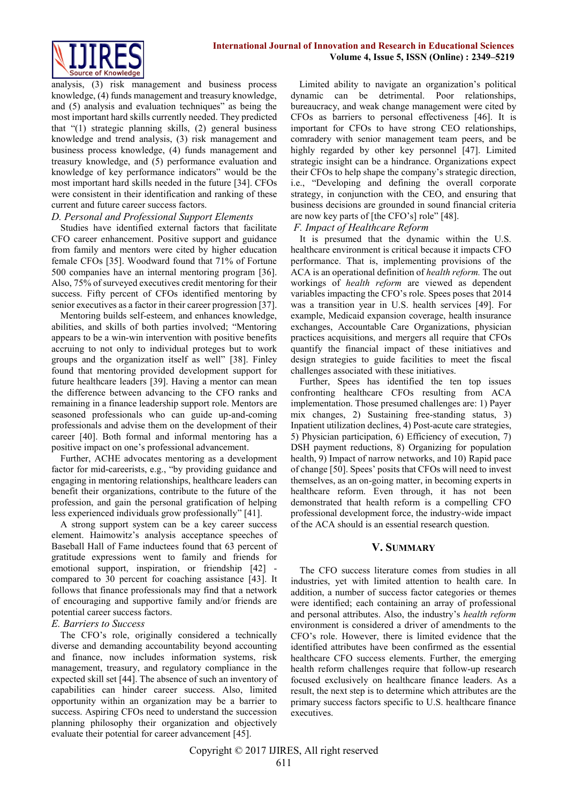analysis, (3) risk management and business process knowledge, (4) funds management and treasury knowledge, and (5) analysis and evaluation techniques" as being the most important hard skills currently needed. They predicted that "(1) strategic planning skills, (2) general business knowledge and trend analysis, (3) risk management and business process knowledge, (4) funds management and treasury knowledge, and (5) performance evaluation and knowledge of key performance indicators" would be the most important hard skills needed in the future [34]. CFOs were consistent in their identification and ranking of these current and future career success factors.

# *D. Personal and Professional Support Elements*

Studies have identified external factors that facilitate CFO career enhancement. Positive support and guidance from family and mentors were cited by higher education female CFOs [35]. Woodward found that 71% of Fortune 500 companies have an internal mentoring program [36]. Also, 75% of surveyed executives credit mentoring for their success. Fifty percent of CFOs identified mentoring by senior executives as a factor in their career progression [37].

Mentoring builds self-esteem, and enhances knowledge, abilities, and skills of both parties involved; "Mentoring appears to be a win-win intervention with positive benefits accruing to not only to individual proteges but to work groups and the organization itself as well" [38]. Finley found that mentoring provided development support for future healthcare leaders [39]. Having a mentor can mean the difference between advancing to the CFO ranks and remaining in a finance leadership support role. Mentors are seasoned professionals who can guide up-and-coming professionals and advise them on the development of their career [40]. Both formal and informal mentoring has a positive impact on one's professional advancement.

Further, ACHE advocates mentoring as a development factor for mid-careerists, e.g., "by providing guidance and engaging in mentoring relationships, healthcare leaders can benefit their organizations, contribute to the future of the profession, and gain the personal gratification of helping less experienced individuals grow professionally" [41].

A strong support system can be a key career success element. Haimowitz's analysis acceptance speeches of Baseball Hall of Fame inductees found that 63 percent of gratitude expressions went to family and friends for emotional support, inspiration, or friendship [42] compared to 30 percent for coaching assistance [43]. It follows that finance professionals may find that a network of encouraging and supportive family and/or friends are potential career success factors.

## *E. Barriers to Success*

The CFO's role, originally considered a technically diverse and demanding accountability beyond accounting and finance, now includes information systems, risk management, treasury, and regulatory compliance in the expected skill set [44]. The absence of such an inventory of capabilities can hinder career success. Also, limited opportunity within an organization may be a barrier to success. Aspiring CFOs need to understand the succession planning philosophy their organization and objectively evaluate their potential for career advancement [45].

Limited ability to navigate an organization's political dynamic can be detrimental. Poor relationships, bureaucracy, and weak change management were cited by CFOs as barriers to personal effectiveness [46]. It is important for CFOs to have strong CEO relationships, comradery with senior management team peers, and be highly regarded by other key personnel [47]. Limited strategic insight can be a hindrance. Organizations expect their CFOs to help shape the company's strategic direction, i.e., "Developing and defining the overall corporate strategy, in conjunction with the CEO, and ensuring that business decisions are grounded in sound financial criteria are now key parts of [the CFO's] role" [48].

# *F. Impact of Healthcare Reform*

It is presumed that the dynamic within the U.S. healthcare environment is critical because it impacts CFO performance. That is, implementing provisions of the ACA is an operational definition of *health reform.* The out workings of *health reform* are viewed as dependent variables impacting the CFO's role. Spees poses that 2014 was a transition year in U.S. health services [49]. For example, Medicaid expansion coverage, health insurance exchanges, Accountable Care Organizations, physician practices acquisitions, and mergers all require that CFOs quantify the financial impact of these initiatives and design strategies to guide facilities to meet the fiscal challenges associated with these initiatives.

Further, Spees has identified the ten top issues confronting healthcare CFOs resulting from ACA implementation. Those presumed challenges are: 1) Payer mix changes, 2) Sustaining free-standing status, 3) Inpatient utilization declines, 4) Post-acute care strategies, 5) Physician participation, 6) Efficiency of execution, 7) DSH payment reductions, 8) Organizing for population health, 9) Impact of narrow networks, and 10) Rapid pace of change [50]. Spees' posits that CFOs will need to invest themselves, as an on-going matter, in becoming experts in healthcare reform. Even through, it has not been demonstrated that health reform is a compelling CFO professional development force, the industry-wide impact of the ACA should is an essential research question.

## **V. SUMMARY**

The CFO success literature comes from studies in all industries, yet with limited attention to health care. In addition, a number of success factor categories or themes were identified; each containing an array of professional and personal attributes. Also, the industry's *health reform*  environment is considered a driver of amendments to the CFO's role. However, there is limited evidence that the identified attributes have been confirmed as the essential healthcare CFO success elements. Further, the emerging health reform challenges require that follow-up research focused exclusively on healthcare finance leaders. As a result, the next step is to determine which attributes are the primary success factors specific to U.S. healthcare finance executives.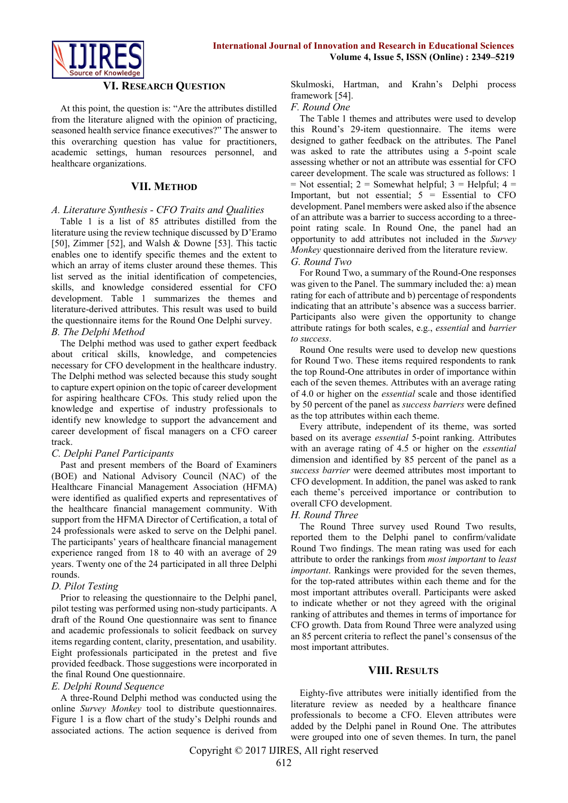

#### **VI. RESEARCH QUESTION**

At this point, the question is: "Are the attributes distilled from the literature aligned with the opinion of practicing, seasoned health service finance executives?" The answer to this overarching question has value for practitioners, academic settings, human resources personnel, and healthcare organizations.

#### **VII. METHOD**

#### *A. Literature Synthesis - CFO Traits and Qualities*

Table 1 is a list of 85 attributes distilled from the literature using the review technique discussed by D'Eramo [50], Zimmer [52], and Walsh & Downe [53]. This tactic enables one to identify specific themes and the extent to which an array of items cluster around these themes. This list served as the initial identification of competencies, skills, and knowledge considered essential for CFO development. Table 1 summarizes the themes and literature-derived attributes. This result was used to build the questionnaire items for the Round One Delphi survey.

### *B. The Delphi Method*

The Delphi method was used to gather expert feedback about critical skills, knowledge, and competencies necessary for CFO development in the healthcare industry. The Delphi method was selected because this study sought to capture expert opinion on the topic of career development for aspiring healthcare CFOs. This study relied upon the knowledge and expertise of industry professionals to identify new knowledge to support the advancement and career development of fiscal managers on a CFO career track.

#### *C. Delphi Panel Participants*

Past and present members of the Board of Examiners (BOE) and National Advisory Council (NAC) of the Healthcare Financial Management Association (HFMA) were identified as qualified experts and representatives of the healthcare financial management community. With support from the HFMA Director of Certification, a total of 24 professionals were asked to serve on the Delphi panel. The participants' years of healthcare financial management experience ranged from 18 to 40 with an average of 29 years. Twenty one of the 24 participated in all three Delphi rounds.

## *D. Pilot Testing*

Prior to releasing the questionnaire to the Delphi panel, pilot testing was performed using non-study participants. A draft of the Round One questionnaire was sent to finance and academic professionals to solicit feedback on survey items regarding content, clarity, presentation, and usability. Eight professionals participated in the pretest and five provided feedback. Those suggestions were incorporated in the final Round One questionnaire.

## *E. Delphi Round Sequence*

A three-Round Delphi method was conducted using the online *Survey Monkey* tool to distribute questionnaires. Figure 1 is a flow chart of the study's Delphi rounds and associated actions. The action sequence is derived from Skulmoski, Hartman, and Krahn's Delphi process framework [54].

#### *F. Round One*

The Table 1 themes and attributes were used to develop this Round's 29-item questionnaire. The items were designed to gather feedback on the attributes. The Panel was asked to rate the attributes using a 5-point scale assessing whether or not an attribute was essential for CFO career development. The scale was structured as follows: 1  $=$  Not essential; 2 = Somewhat helpful; 3 = Helpful; 4 = Important, but not essential;  $5 =$  Essential to CFO development. Panel members were asked also if the absence of an attribute was a barrier to success according to a threepoint rating scale. In Round One, the panel had an opportunity to add attributes not included in the *Survey Monkey* questionnaire derived from the literature review.

## *G. Round Two*

For Round Two, a summary of the Round-One responses was given to the Panel. The summary included the: a) mean rating for each of attribute and b) percentage of respondents indicating that an attribute's absence was a success barrier. Participants also were given the opportunity to change attribute ratings for both scales, e.g., *essential* and *barrier to success*.

Round One results were used to develop new questions for Round Two. These items required respondents to rank the top Round-One attributes in order of importance within each of the seven themes. Attributes with an average rating of 4.0 or higher on the *essential* scale and those identified by 50 percent of the panel as *success barriers* were defined as the top attributes within each theme.

Every attribute, independent of its theme, was sorted based on its average *essential* 5-point ranking. Attributes with an average rating of 4.5 or higher on the *essential* dimension and identified by 85 percent of the panel as a *success barrier* were deemed attributes most important to CFO development. In addition, the panel was asked to rank each theme's perceived importance or contribution to overall CFO development.

## *H. Round Three*

The Round Three survey used Round Two results, reported them to the Delphi panel to confirm/validate Round Two findings. The mean rating was used for each attribute to order the rankings from *most important* to *least important*. Rankings were provided for the seven themes, for the top-rated attributes within each theme and for the most important attributes overall. Participants were asked to indicate whether or not they agreed with the original ranking of attributes and themes in terms of importance for CFO growth. Data from Round Three were analyzed using an 85 percent criteria to reflect the panel's consensus of the most important attributes.

## **VIII. RESULTS**

Eighty-five attributes were initially identified from the literature review as needed by a healthcare finance professionals to become a CFO. Eleven attributes were added by the Delphi panel in Round One. The attributes were grouped into one of seven themes. In turn, the panel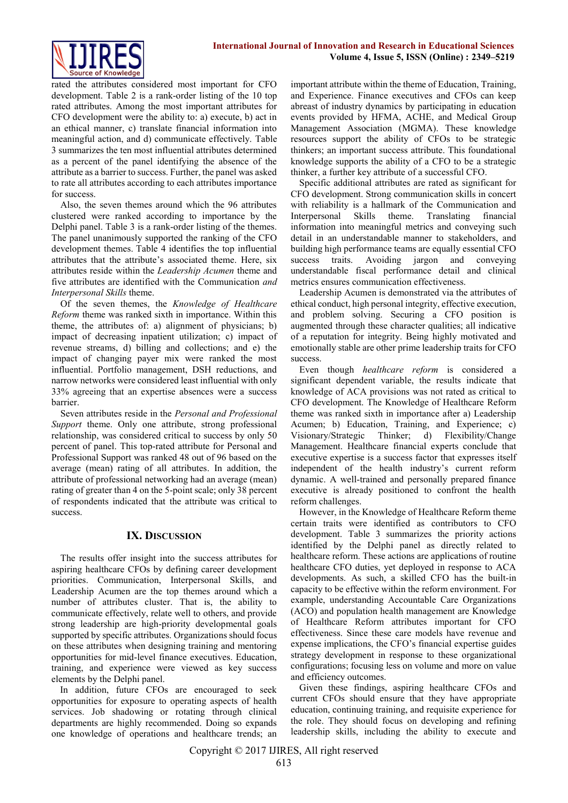rated the attributes considered most important for CFO development. Table 2 is a rank-order listing of the 10 top rated attributes. Among the most important attributes for CFO development were the ability to: a) execute, b) act in an ethical manner, c) translate financial information into meaningful action, and d) communicate effectively. Table 3 summarizes the ten most influential attributes determined as a percent of the panel identifying the absence of the attribute as a barrier to success. Further, the panel was asked to rate all attributes according to each attributes importance for success.

Also, the seven themes around which the 96 attributes clustered were ranked according to importance by the Delphi panel. Table 3 is a rank-order listing of the themes. The panel unanimously supported the ranking of the CFO development themes. Table 4 identifies the top influential attributes that the attribute's associated theme. Here, six attributes reside within the *Leadership Acumen* theme and five attributes are identified with the Communication *and Interpersonal Skills* theme.

Of the seven themes, the *Knowledge of Healthcare Reform* theme was ranked sixth in importance. Within this theme, the attributes of: a) alignment of physicians; b) impact of decreasing inpatient utilization; c) impact of revenue streams, d) billing and collections; and e) the impact of changing payer mix were ranked the most influential. Portfolio management, DSH reductions, and narrow networks were considered least influential with only 33% agreeing that an expertise absences were a success barrier.

Seven attributes reside in the *Personal and Professional Support* theme. Only one attribute, strong professional relationship, was considered critical to success by only 50 percent of panel. This top-rated attribute for Personal and Professional Support was ranked 48 out of 96 based on the average (mean) rating of all attributes. In addition, the attribute of professional networking had an average (mean) rating of greater than 4 on the 5-point scale; only 38 percent of respondents indicated that the attribute was critical to success.

# **IX. DISCUSSION**

The results offer insight into the success attributes for aspiring healthcare CFOs by defining career development priorities. Communication, Interpersonal Skills, and Leadership Acumen are the top themes around which a number of attributes cluster. That is, the ability to communicate effectively, relate well to others, and provide strong leadership are high-priority developmental goals supported by specific attributes. Organizations should focus on these attributes when designing training and mentoring opportunities for mid-level finance executives. Education, training, and experience were viewed as key success elements by the Delphi panel.

In addition, future CFOs are encouraged to seek opportunities for exposure to operating aspects of health services. Job shadowing or rotating through clinical departments are highly recommended. Doing so expands one knowledge of operations and healthcare trends; an

important attribute within the theme of Education, Training, and Experience. Finance executives and CFOs can keep abreast of industry dynamics by participating in education events provided by HFMA, ACHE, and Medical Group Management Association (MGMA). These knowledge resources support the ability of CFOs to be strategic thinkers; an important success attribute. This foundational knowledge supports the ability of a CFO to be a strategic thinker, a further key attribute of a successful CFO.

Specific additional attributes are rated as significant for CFO development. Strong communication skills in concert with reliability is a hallmark of the Communication and Interpersonal Skills theme. Translating financial information into meaningful metrics and conveying such detail in an understandable manner to stakeholders, and building high performance teams are equally essential CFO success traits. Avoiding jargon and conveying understandable fiscal performance detail and clinical metrics ensures communication effectiveness.

Leadership Acumen is demonstrated via the attributes of ethical conduct, high personal integrity, effective execution, and problem solving. Securing a CFO position is augmented through these character qualities; all indicative of a reputation for integrity. Being highly motivated and emotionally stable are other prime leadership traits for CFO success.

Even though *healthcare reform* is considered a significant dependent variable, the results indicate that knowledge of ACA provisions was not rated as critical to CFO development. The Knowledge of Healthcare Reform theme was ranked sixth in importance after a) Leadership Acumen; b) Education, Training, and Experience; c) Visionary/Strategic Thinker; d) Flexibility/Change Management. Healthcare financial experts conclude that executive expertise is a success factor that expresses itself independent of the health industry's current reform dynamic. A well-trained and personally prepared finance executive is already positioned to confront the health reform challenges.

However, in the Knowledge of Healthcare Reform theme certain traits were identified as contributors to CFO development. Table 3 summarizes the priority actions identified by the Delphi panel as directly related to healthcare reform. These actions are applications of routine healthcare CFO duties, yet deployed in response to ACA developments. As such, a skilled CFO has the built-in capacity to be effective within the reform environment. For example, understanding Accountable Care Organizations (ACO) and population health management are Knowledge of Healthcare Reform attributes important for CFO effectiveness. Since these care models have revenue and expense implications, the CFO's financial expertise guides strategy development in response to these organizational configurations; focusing less on volume and more on value and efficiency outcomes.

Given these findings, aspiring healthcare CFOs and current CFOs should ensure that they have appropriate education, continuing training, and requisite experience for the role. They should focus on developing and refining leadership skills, including the ability to execute and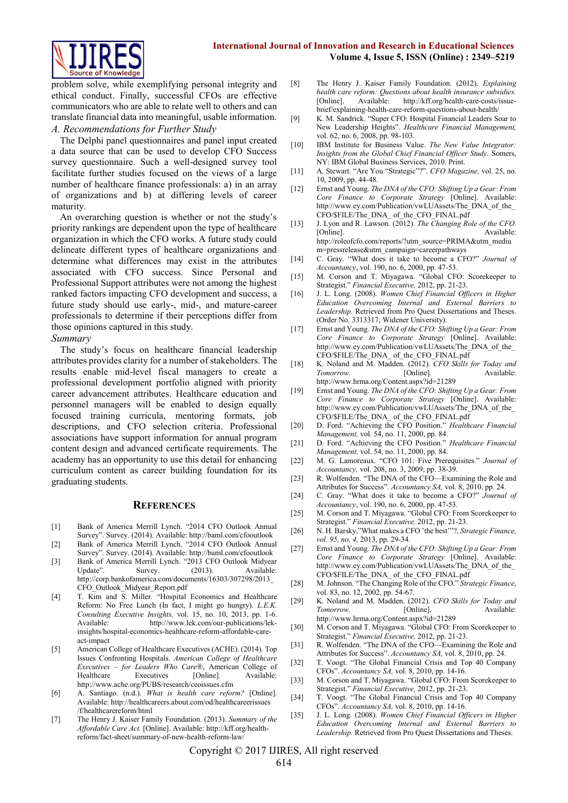

problem solve, while exemplifying personal integrity and ethical conduct. Finally, successful CFOs are effective communicators who are able to relate well to others and can translate financial data into meaningful, usable information. *A. Recommendations for Further Study*

The Delphi panel questionnaires and panel input created a data source that can be used to develop CFO Success survey questionnaire. Such a well-designed survey tool facilitate further studies focused on the views of a large number of healthcare finance professionals: a) in an array of organizations and b) at differing levels of career maturity.

An overarching question is whether or not the study's priority rankings are dependent upon the type of healthcare organization in which the CFO works. A future study could delineate different types of healthcare organizations and determine what differences may exist in the attributes associated with CFO success. Since Personal and Professional Support attributes were not among the highest ranked factors impacting CFO development and success, a future study should use early-, mid-, and mature-career professionals to determine if their perceptions differ from those opinions captured in this study.

#### *Summary*

The study's focus on healthcare financial leadership attributes provides clarity for a number of stakeholders. The results enable mid-level fiscal managers to create a professional development portfolio aligned with priority career advancement attributes. Healthcare education and personnel managers will be enabled to design equally focused training curricula, mentoring formats, job descriptions, and CFO selection criteria. Professional associations have support information for annual program content design and advanced certificate requirements. The academy has an opportunity to use this detail for enhancing curriculum content as career building foundation for its graduating students.

#### **REFERENCES**

- [1] Bank of America Merrill Lynch. "2014 CFO Outlook Annual Survey". Survey. (2014). Available: http://baml.com/cfooutlook
- [2] Bank of America Merrill Lynch. "2014 CFO Outlook Annual Survey". Survey. (2014). Available: http://baml.com/cfooutlook
- [3] Bank of America Merrill Lynch. "2013 CFO Outlook Midyear<br>Update". Survey. (2013). Available: Available: http://corp.bankofamerica.com/documents/16303/307298/2013\_ CFO\_Outlook\_Midyear\_Report.pdf
- [4] T. Kim and S. Miller. "Hospital Economics and Healthcare Reform: No Free Lunch (In fact, I might go hungry). *L.E.K. Consulting Executive Insights,* vol. 15, no. 10, 2013, pp. 1-6. Available: http://www.lek.com/our-publications/lekinsights/hospital-economics-healthcare-reform-affordable-careact-impact
- [5] American College of Healthcare Executives (ACHE). (2014). Top Issues Confronting Hospitals. *American College of Healthcare Executives – for Leaders Who Care®*, American College of Healthcare Executives [Online]. Available: <http://www.ache.org/PUBS/research/ceoissues.cfm>
- [6] A. Santiago. (n.d.). *What is health care reform?* [Online]. Available: http://healthcareers.about.com/od/healthcareerissues /f/healthcarereform/html
- [7] The Henry J. Kaiser Family Foundation. (2013). *Summary of the Affordable Care Act.* [Online]. Available[: http://kff.org/health](http://kff.org/health-)reform/fact-sheet/summary-of-new-health-reform-law/
- [8] The Henry J. Kaiser Family Foundation. (2012). *Explaining health care reform: Questions about health insurance subsidies.*  [Online]. Available: http://kff.org/health-care-costs/issuebrief/explaining-health-care-reform-questions-about-health/
- [9] K. M. Sandrick. "Super CFO: Hospital Financial Leaders Soar to New Leadership Heights". *Healthcare Financial Management,*  vol. 62, no. 6, 2008, pp. 98-103.
- [10] IBM Institute for Business Value. *The New Value Integrator: Insights from the Global Chief Financial Officer Study.* Somers, NY: IBM Global Business Services, 2010. Print.
- [11] A. Stewart. "Are You "Strategic"?". *CFO Magazine,* vol. 25, no. 10, 2009, pp. 44-48.
- [12] Ernst and Young. *The DNA of the CFO: Shifting Up a Gear: From Core Finance to Corporate Strategy* [Online]. Available: http://www.ey.com/Publication/vwLUAssets/The\_DNA\_of\_the\_ CFO/\$FILE/The\_DNA\_ of\_the\_CFO\_FINAL.pdf
- [13] J. Lyon and R. Lawson. (2012). *The Changing Role of the CFO.*  [Online]. Available: http://roleofcfo.com/reports/?utm\_source=PRIMA&utm\_mediu m=pressrelease&utm\_campaign=careerpathways
- [14] C. Gray. "What does it take to become a CFO?" *Journal of Accountancy*, vol. 190, no. 6, 2000, pp. 47-53.
- [15] M. Corson and T. Miyagawa. "Global CFO: Scorekeeper to Strategist." *Financial Executive,* 2012, pp. 21-23.
- [16] J. L. Long. (2008). *Women Chief Financial Officers in Higher Education Overcoming Internal and External Barriers to Leadership.* Retrieved from Pro Quest Dissertations and Theses. (Order No. 3313317, Widener University).
- [17] Ernst and Young. *The DNA of the CFO: Shifting Up a Gear: From Core Finance to Corporate Strategy* [Online]. Available: http://www.ey.com/Publication/vwLUAssets/The\_DNA\_of\_the\_ CFO/\$FILE/The\_DNA\_ of the\_CFO\_FINAL.pdf
- [18] K. Noland and M. Madden. (2012). *CFO Skills for Today and Tomorrow.* [Online]. Available: http://www.hrma.org/Content.aspx?id=21289
- [19] Ernst and Young. *The DNA of the CFO: Shifting Up a Gear: From Core Finance to Corporate Strategy* [Online]. Available: http://www.ey.com/Publication/vwLUAssets/The\_DNA\_of\_the\_ CFO/\$FILE/The\_DNA\_ of\_the\_CFO\_FINAL.pdf
- [20] D. Ford. "Achieving the CFO Position." *Healthcare Financial Management,* vol. 54, no. 11, 2000, pp. 84.
- [21] D. Ford. "Achieving the CFO Position." *Healthcare Financial Management,* vol. 54, no. 11, 2000, pp. 84.
- [22] M. G. Lamoreaux. "CFO 101: Five Prerequisites." *Journal of Accountancy,* vol. 208, no. 3, 2009, pp. 38-39.
- [23] R. Wolfenden. "The DNA of the CFO—Examining the Role and Attributes for Success". *Accountancy SA,* vol. 8, 2010, pp. 24.
- [24] C. Gray. "What does it take to become a CFO?" *Journal of Accountancy*, vol. 190, no. 6, 2000, pp. 47-53.
- [25] M. Corson and T. Miyagawa. "Global CFO: From Scorekeeper to Strategist." *Financial Executive,* 2012, pp. 21-23.
- [26] N. H. Barsky,"What makes a CFO 'the best'"?, *Strategic Finance, vol. 95, no, 4,* 2013, pp. 29-34.
- [27] Ernst and Young. *The DNA of the CFO: Shifting Up a Gear: From Core Finance to Corporate Strategy* [Online]. Available: http://www.ey.com/Publication/vwLUAssets/The\_DNA\_of\_the\_ CFO/\$FILE/The\_DNA\_ of\_the\_CFO\_FINAL.pdf
- [28] M. Johnson. "The Changing Role of the CFO." *Strategic Finance*, vol. 83, no. 12, 2002, pp. 54-67.
- [29] K. Noland and M. Madden. (2012). *CFO Skills for Today and Tomorrow.* **[Online].** Available: http://www.hrma.org/Content.aspx?id=21289
- [30] M. Corson and T. Miyagawa. "Global CFO: From Scorekeeper to Strategist." *Financial Executive,* 2012, pp. 21-23.
- [31] R. Wolfenden. "The DNA of the CFO—Examining the Role and Attributes for Success". *Accountancy SA,* vol. 8, 2010, pp. 24.
- [32] T. Voogt. "The Global Financial Crisis and Top 40 Company CFOs". *Accountancy SA,* vol. 8, 2010, pp. 14-16.
- [33] M. Corson and T. Miyagawa. "Global CFO: From Scorekeeper to Strategist." *Financial Executive,* 2012, pp. 21-23.
- [34] T. Voogt. "The Global Financial Crisis and Top 40 Company CFOs". *Accountancy SA,* vol. 8, 2010, pp. 14-16.
- [35] J. L. Long. (2008). *Women Chief Financial Officers in Higher Education Overcoming Internal and External Barriers to Leadership.* Retrieved from Pro Quest Dissertations and Theses.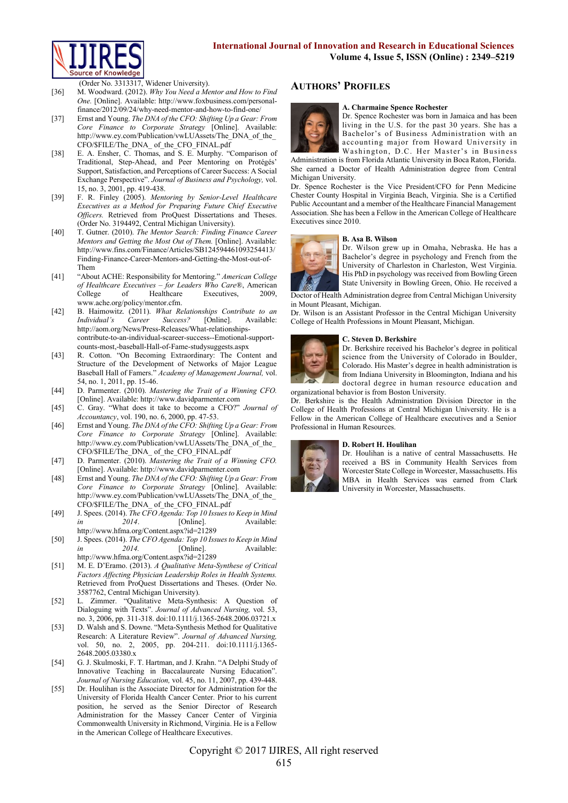

(Order No. 3313317, Widener University).

- [36] M. Woodward. (2012). *Why You Need a Mentor and How to Find One.* [Online]. Available: http://www.foxbusiness.com/personalfinance/2012/09/24/why-need-mentor-and-how-to-find-one/
- [37] Ernst and Young. *The DNA of the CFO: Shifting Up a Gear: From Core Finance to Corporate Strategy* [Online]. Available: http://www.ey.com/Publication/vwLUAssets/The\_DNA\_of\_the\_ CFO/\$FILE/The\_DNA\_ of\_the\_CFO\_FINAL.pdf
- [38] E. A. Ensher, C. Thomas, and S. E. Murphy. "Comparison of Traditional, Step-Ahead, and Peer Mentoring on Protégés' Support, Satisfaction, and Perceptions of Career Success: A Social Exchange Perspective". *Journal of Business and Psychology,* vol. 15, no. 3, 2001, pp. 419-438.
- [39] F. R. Finley (2005). *Mentoring by Senior-Level Healthcare Executives as a Method for Preparing Future Chief Executive Officers.* Retrieved from ProQuest Dissertations and Theses. (Order No. 3194492, Central Michigan University).
- [40] T. Gutner. (2010). *The Mentor Search: Finding Finance Career Mentors and Getting the Most Out of Them.* [Online]. Available: http://www.fins.com/Finance/Articles/SB124594461093254413/ Finding-Finance-Career-Mentors-and-Getting-the-Most-out-of-Them
- [41] "About ACHE: Responsibility for Mentoring." *American College of Healthcare Executives – for Leaders Who Care®*, American College of Healthcare Executives, 2009, www.ache.org/policy/mentor.cfm.
- [42] B. Haimowitz. (2011). *What Relationships Contribute to an Individual's Career Success?* [Online]. Available: http://aom.org/News/Press-Releases/What-relationshipscontribute-to-an-individual-scareer-success--Emotional-supportcounts-most,-baseball-Hall-of-Fame-studysuggests.aspx
- [43] R. Cotton. "On Becoming Extraordinary: The Content and Structure of the Development of Networks of Major League Baseball Hall of Famers." *Academy of Management Journal,* vol. 54, no. 1, 2011, pp. 15-46.
- [44] D. Parmenter. (2010). *Mastering the Trait of a Winning CFO.* [Online]. Available: http://www.davidparmenter.com
- [45] C. Gray. "What does it take to become a CFO?" *Journal of Accountancy*, vol. 190, no. 6, 2000, pp. 47-53.
- [46] Ernst and Young. *The DNA of the CFO: Shifting Up a Gear: From Core Finance to Corporate Strategy* [Online]. Available: http://www.ey.com/Publication/vwLUAssets/The\_DNA\_of\_the\_ CFO/\$FILE/The\_DNA\_ of\_the\_CFO\_FINAL.pdf
- [47] D. Parmenter. (2010). *Mastering the Trait of a Winning CFO.* [Online]. Available: http://www.davidparmenter.com
- [48] Ernst and Young. *The DNA of the CFO: Shifting Up a Gear: From Core Finance to Corporate Strategy* [Online]. Available: http://www.ey.com/Publication/vwLUAssets/The\_DNA\_of\_the\_ CFO/\$FILE/The\_DNA\_ of\_the\_CFO\_FINAL.pdf
- [49] J. Spees. (2014). *The CFO Agenda: Top 10 Issues to Keep in Mind in* 2014. [Online]. Available: http://www.hfma.org/Content.aspx?id=21289
- [50] J. Spees. (2014). *The CFO Agenda: Top 10 Issues to Keep in Mind in* 2014. [Online]. Available: http://www.hfma.org/Content.aspx?id=21289
- [51] M. E. D'Eramo. (2013). *A Qualitative Meta-Synthese of Critical Factors Affecting Physician Leadership Roles in Health Systems.*  Retrieved from ProQuest Dissertations and Theses. (Order No. 3587762, Central Michigan University).
- [52] L. Zimmer. "Qualitative Meta-Synthesis: A Question of Dialoguing with Texts". *Journal of Advanced Nursing,* vol. 53, no. 3, 2006, pp. 311-318. doi:10.1111/j.1365-2648.2006.03721.x
- [53] D. Walsh and S. Downe. "Meta-Synthesis Method for Qualitative Research: A Literature Review". *Journal of Advanced Nursing,*  vol. 50, no. 2, 2005, pp. 204-211. doi:10.1111/j.1365- 2648.2005.03380.x
- [54] G. J. Skulmoski, F. T. Hartman, and J. Krahn. "A Delphi Study of Innovative Teaching in Baccalaureate Nursing Education". *Journal of Nursing Education,* vol. 45, no. 11, 2007, pp. 439-448.
- [55] Dr. Houlihan is the Associate Director for Administration for the University of Florida Health Cancer Center. Prior to his current position, he served as the Senior Director of Research Administration for the Massey Cancer Center of Virginia Commonwealth University in Richmond, Virginia. He is a Fellow in the American College of Healthcare Executives.

# **AUTHORS' PROFILES**



**A. Charmaine Spence Rochester**  Dr. Spence Rochester was born in Jamaica and has been living in the U.S. for the past 30 years. She has a Bachelor's of Business Administration with an accounting major from Howard University in Washington, D.C. Her Master's in Business

Administration is from Florida Atlantic University in Boca Raton, Florida. She earned a Doctor of Health Administration degree from Central Michigan University.

Dr. Spence Rochester is the Vice President/CFO for Penn Medicine Chester County Hospital in Virginia Beach, Virginia. She is a Certified Public Accountant and a member of the Healthcare Financial Management Association. She has been a Fellow in the American College of Healthcare Executives since 2010.

#### **B. Asa B. Wilson**



Dr. Wilson grew up in Omaha, Nebraska. He has a Bachelor's degree in psychology and French from the University of Charleston in Charleston, West Virginia. His PhD in psychology was received from Bowling Green State University in Bowling Green, Ohio. He received a

Doctor of Health Administration degree from Central Michigan University in Mount Pleasant, Michigan.

Dr. Wilson is an Assistant Professor in the Central Michigan University College of Health Professions in Mount Pleasant, Michigan.

#### **C. Steven D. Berkshire**



Dr. Berkshire received his Bachelor's degree in political science from the University of Colorado in Boulder, Colorado. His Master's degree in health administration is from Indiana University in Bloomington, Indiana and his doctoral degree in human resource education and

organizational behavior is from Boston University. Dr. Berkshire is the Health Administration Division Director in the College of Health Professions at Central Michigan University. He is a Fellow in the American College of Healthcare executives and a Senior Professional in Human Resources.

#### **D. Robert H. Houlihan**



Dr. Houlihan is a native of central Massachusetts. He received a BS in Community Health Services from Worcester State College in Worcester, Massachusetts. His MBA in Health Services was earned from Clark University in Worcester, Massachusetts.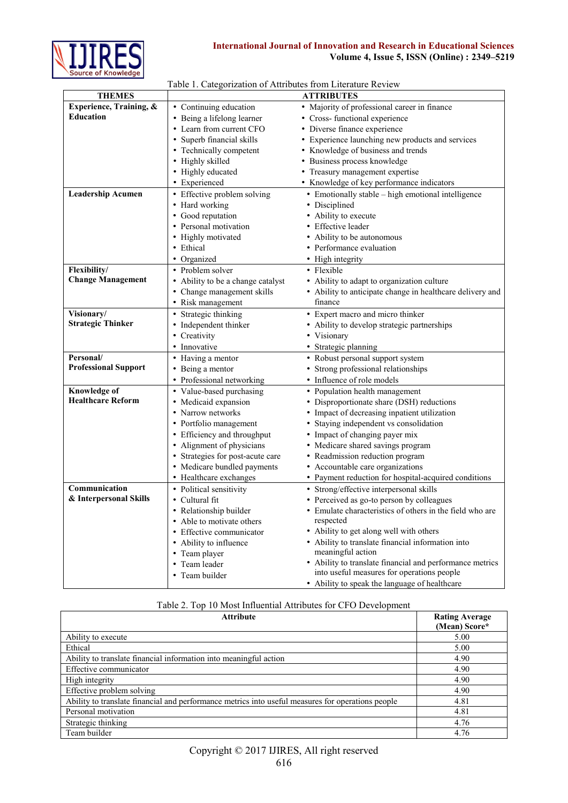

# **International Journal of Innovation and Research in Educational Sciences Volume 4, Issue 5, ISSN (Online) : 2349–5219**

|  | Table 1. Categorization of Attributes from Literature Review |  |  |  |
|--|--------------------------------------------------------------|--|--|--|
|  |                                                              |  |  |  |

| <b>THEMES</b>               |                                   | <b>ATTRIBUTES</b>                                         |
|-----------------------------|-----------------------------------|-----------------------------------------------------------|
| Experience, Training, &     | • Continuing education            | • Majority of professional career in finance              |
| <b>Education</b>            | • Being a lifelong learner        | • Cross- functional experience                            |
|                             | • Learn from current CFO          | • Diverse finance experience                              |
|                             | • Superb financial skills         | • Experience launching new products and services          |
|                             | • Technically competent           | • Knowledge of business and trends                        |
|                             | • Highly skilled                  | • Business process knowledge                              |
|                             | • Highly educated                 | • Treasury management expertise                           |
|                             | • Experienced                     | • Knowledge of key performance indicators                 |
| <b>Leadership Acumen</b>    | • Effective problem solving       | • Emotionally stable – high emotional intelligence        |
|                             | • Hard working                    | • Disciplined                                             |
|                             | • Good reputation                 | • Ability to execute                                      |
|                             | • Personal motivation             | • Effective leader                                        |
|                             | • Highly motivated                | • Ability to be autonomous                                |
|                             | • Ethical                         | • Performance evaluation                                  |
|                             | • Organized                       | • High integrity                                          |
| Flexibility/                | • Problem solver                  | • Flexible                                                |
| <b>Change Management</b>    | • Ability to be a change catalyst | • Ability to adapt to organization culture                |
|                             | • Change management skills        | • Ability to anticipate change in healthcare delivery and |
|                             | • Risk management                 | finance                                                   |
| Visionary/                  | • Strategic thinking              | • Expert macro and micro thinker                          |
| <b>Strategic Thinker</b>    | • Independent thinker             | • Ability to develop strategic partnerships               |
|                             | • Creativity                      | • Visionary                                               |
|                             | • Innovative                      | • Strategic planning                                      |
| Personal/                   | • Having a mentor                 | • Robust personal support system                          |
| <b>Professional Support</b> | • Being a mentor                  | • Strong professional relationships                       |
|                             | • Professional networking         | • Influence of role models                                |
| <b>Knowledge of</b>         | • Value-based purchasing          | • Population health management                            |
| <b>Healthcare Reform</b>    | • Medicaid expansion              | • Disproportionate share (DSH) reductions                 |
|                             | • Narrow networks                 | • Impact of decreasing inpatient utilization              |
|                             | • Portfolio management            | • Staying independent vs consolidation                    |
|                             | • Efficiency and throughput       | • Impact of changing payer mix                            |
|                             | • Alignment of physicians         | • Medicare shared savings program                         |
|                             | • Strategies for post-acute care  | • Readmission reduction program                           |
|                             | • Medicare bundled payments       | • Accountable care organizations                          |
|                             | • Healthcare exchanges            | • Payment reduction for hospital-acquired conditions      |
| Communication               | • Political sensitivity           | • Strong/effective interpersonal skills                   |
| & Interpersonal Skills      | • Cultural fit                    | • Perceived as go-to person by colleagues                 |
|                             | • Relationship builder            | • Emulate characteristics of others in the field who are  |
|                             | • Able to motivate others         | respected                                                 |
|                             | • Effective communicator          | • Ability to get along well with others                   |
|                             | • Ability to influence            | • Ability to translate financial information into         |
|                             | • Team player                     | meaningful action                                         |
|                             | • Team leader                     | • Ability to translate financial and performance metrics  |
|                             | • Team builder                    | into useful measures for operations people                |
|                             |                                   | • Ability to speak the language of healthcare             |

|  |  |  |  | Table 2. Top 10 Most Influential Attributes for CFO Development |  |  |  |  |  |
|--|--|--|--|-----------------------------------------------------------------|--|--|--|--|--|
|--|--|--|--|-----------------------------------------------------------------|--|--|--|--|--|

| <b>Attribute</b>                                                                                  | <b>Rating Average</b><br>(Mean) Score* |
|---------------------------------------------------------------------------------------------------|----------------------------------------|
| Ability to execute                                                                                | 5.00                                   |
| Ethical                                                                                           | 5.00                                   |
| Ability to translate financial information into meaningful action                                 | 4.90                                   |
| Effective communicator                                                                            | 4.90                                   |
| High integrity                                                                                    | 4.90                                   |
| Effective problem solving                                                                         | 4.90                                   |
| Ability to translate financial and performance metrics into useful measures for operations people | 4.81                                   |
| Personal motivation                                                                               | 4.81                                   |
| Strategic thinking                                                                                | 4.76                                   |
| Team builder                                                                                      | 4.76                                   |